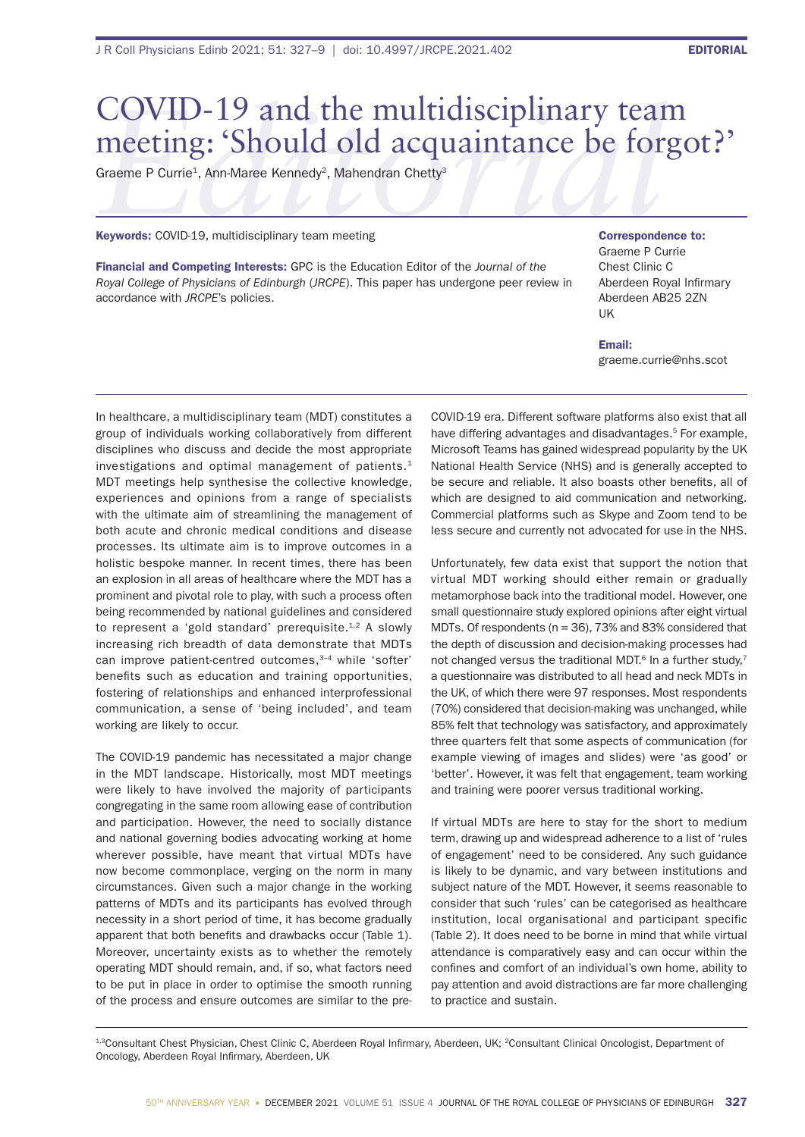## **COVID-19 and the multidisciplinary team**<br> **Editorical** Correcting: 'Should old acquaintance be forgo<br> **Graeme P Currie<sup>1</sup>, Ann-Maree Kennedy<sup>2</sup>, Mahendran Chetty<sup>3</sup><br>
<b>Keywords:** COVID-19, multidisciplinary team meeting<br> meeting: 'Should old acquaintance be forgot?'

Graeme P Currie<sup>1</sup>, Ann-Maree Kennedy<sup>2</sup>, Mahendran Chetty<sup>3</sup>

Keywords: COVID-19, multidisciplinary team meeting

Financial and Competing Interests: GPC is the Education Editor of the *Journal of the Royal College of Physicians of Edinburgh* (*JRCPE*). This paper has undergone peer review in accordance with *JRCPE*'s policies.

Correspondence to:

Graeme P Currie Chest Clinic C Aberdeen Royal Infirmary Aberdeen AB25 2ZN UK

Email:

graeme.currie@nhs.scot

In healthcare, a multidisciplinary team (MDT) constitutes a group of individuals working collaboratively from different disciplines who discuss and decide the most appropriate investigations and optimal management of patients.<sup>1</sup> MDT meetings help synthesise the collective knowledge, experiences and opinions from a range of specialists with the ultimate aim of streamlining the management of both acute and chronic medical conditions and disease processes. Its ultimate aim is to improve outcomes in a holistic bespoke manner. In recent times, there has been an explosion in all areas of healthcare where the MDT has a prominent and pivotal role to play, with such a process often being recommended by national guidelines and considered to represent a 'gold standard' prerequisite.<sup>1,2</sup> A slowly increasing rich breadth of data demonstrate that MDTs can improve patient-centred outcomes.<sup>3-4</sup> while 'softer' benefits such as education and training opportunities, fostering of relationships and enhanced interprofessional communication, a sense of 'being included', and team working are likely to occur.

The COVID-19 pandemic has necessitated a major change in the MDT landscape. Historically, most MDT meetings were likely to have involved the majority of participants congregating in the same room allowing ease of contribution and participation. However, the need to socially distance and national governing bodies advocating working at home wherever possible, have meant that virtual MDTs have now become commonplace, verging on the norm in many circumstances. Given such a major change in the working patterns of MDTs and its participants has evolved through necessity in a short period of time, it has become gradually apparent that both benefits and drawbacks occur (Table 1). Moreover, uncertainty exists as to whether the remotely operating MDT should remain, and, if so, what factors need to be put in place in order to optimise the smooth running of the process and ensure outcomes are similar to the preCOVID-19 era. Different software platforms also exist that all have differing advantages and disadvantages.<sup>5</sup> For example, Microsoft Teams has gained widespread popularity by the UK National Health Service (NHS) and is generally accepted to be secure and reliable. It also boasts other benefits, all of which are designed to aid communication and networking. Commercial platforms such as Skype and Zoom tend to be less secure and currently not advocated for use in the NHS.

Unfortunately, few data exist that support the notion that virtual MDT working should either remain or gradually metamorphose back into the traditional model. However, one small questionnaire study explored opinions after eight virtual MDTs. Of respondents (n = 36), 73% and 83% considered that the depth of discussion and decision-making processes had not changed versus the traditional MDT. $6$  In a further study, $7$ a questionnaire was distributed to all head and neck MDTs in the UK, of which there were 97 responses. Most respondents (70%) considered that decision-making was unchanged, while 85% felt that technology was satisfactory, and approximately three quarters felt that some aspects of communication (for example viewing of images and slides) were 'as good' or 'better'. However, it was felt that engagement, team working and training were poorer versus traditional working.

If virtual MDTs are here to stay for the short to medium term, drawing up and widespread adherence to a list of 'rules of engagement' need to be considered. Any such guidance is likely to be dynamic, and vary between institutions and subject nature of the MDT. However, it seems reasonable to consider that such 'rules' can be categorised as healthcare institution, local organisational and participant specific (Table 2). It does need to be borne in mind that while virtual attendance is comparatively easy and can occur within the confines and comfort of an individual's own home, ability to pay attention and avoid distractions are far more challenging to practice and sustain.

1,3Consultant Chest Physician, Chest Clinic C, Aberdeen Royal Infirmary, Aberdeen, UK; <sup>2</sup>Consultant Clinical Oncologist, Department of Oncology, Aberdeen Royal Infirmary, Aberdeen, UK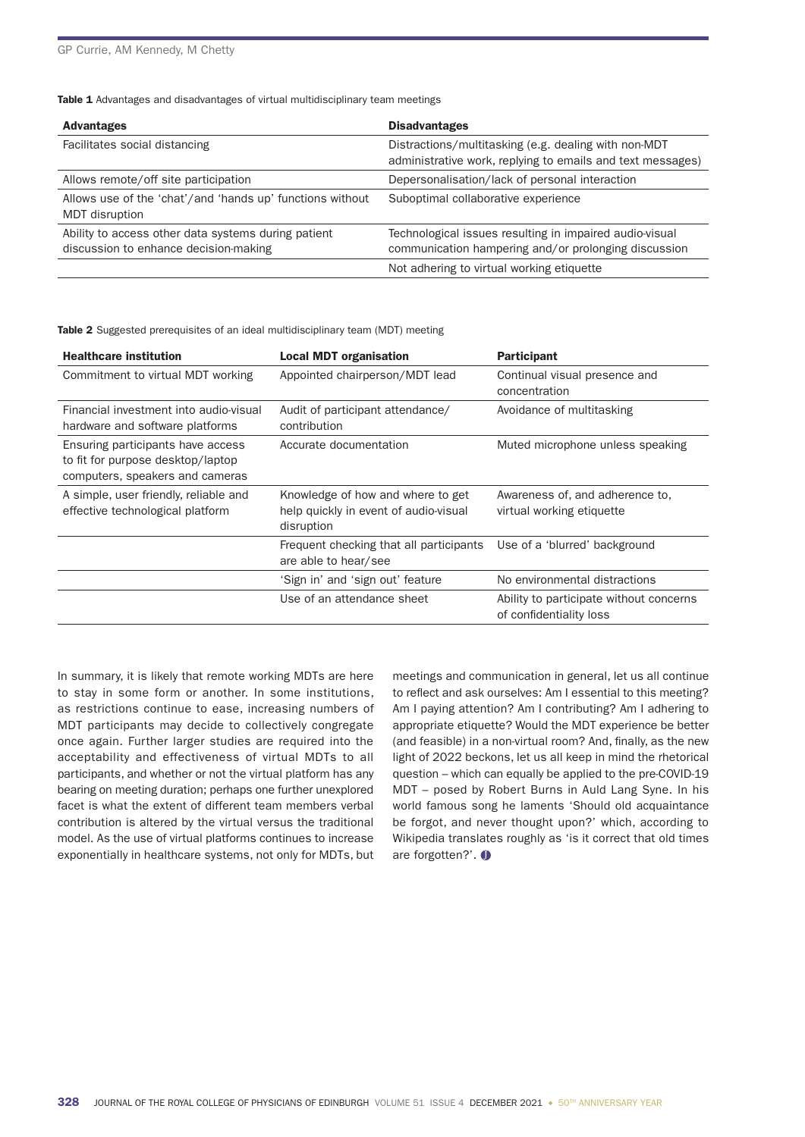Table 1 Advantages and disadvantages of virtual multidisciplinary team meetings

| <b>Advantages</b>                                                                            | <b>Disadvantages</b>                                                                                               |  |
|----------------------------------------------------------------------------------------------|--------------------------------------------------------------------------------------------------------------------|--|
| Facilitates social distancing                                                                | Distractions/multitasking (e.g. dealing with non-MDT<br>administrative work, replying to emails and text messages) |  |
| Allows remote/off site participation                                                         | Depersonalisation/lack of personal interaction                                                                     |  |
| Allows use of the 'chat'/and 'hands up' functions without<br><b>MDT</b> disruption           | Suboptimal collaborative experience                                                                                |  |
| Ability to access other data systems during patient<br>discussion to enhance decision-making | Technological issues resulting in impaired audio-visual<br>communication hampering and/or prolonging discussion    |  |
|                                                                                              | Not adhering to virtual working etiquette                                                                          |  |

Table 2 Suggested prerequisites of an ideal multidisciplinary team (MDT) meeting

| <b>Healthcare institution</b>                                                                             | <b>Local MDT organisation</b>                                                            | <b>Participant</b>                                                 |
|-----------------------------------------------------------------------------------------------------------|------------------------------------------------------------------------------------------|--------------------------------------------------------------------|
| Commitment to virtual MDT working                                                                         | Appointed chairperson/MDT lead                                                           | Continual visual presence and<br>concentration                     |
| Financial investment into audio-visual<br>hardware and software platforms                                 | Audit of participant attendance/<br>contribution                                         | Avoidance of multitasking                                          |
| Ensuring participants have access<br>to fit for purpose desktop/laptop<br>computers, speakers and cameras | Accurate documentation                                                                   | Muted microphone unless speaking                                   |
| A simple, user friendly, reliable and<br>effective technological platform                                 | Knowledge of how and where to get<br>help quickly in event of audio-visual<br>disruption | Awareness of, and adherence to,<br>virtual working etiquette       |
|                                                                                                           | Frequent checking that all participants<br>are able to hear/see                          | Use of a 'blurred' background                                      |
|                                                                                                           | 'Sign in' and 'sign out' feature                                                         | No environmental distractions                                      |
|                                                                                                           | Use of an attendance sheet                                                               | Ability to participate without concerns<br>of confidentiality loss |

In summary, it is likely that remote working MDTs are here to stay in some form or another. In some institutions, as restrictions continue to ease, increasing numbers of MDT participants may decide to collectively congregate once again. Further larger studies are required into the acceptability and effectiveness of virtual MDTs to all participants, and whether or not the virtual platform has any bearing on meeting duration; perhaps one further unexplored facet is what the extent of different team members verbal contribution is altered by the virtual versus the traditional model. As the use of virtual platforms continues to increase exponentially in healthcare systems, not only for MDTs, but meetings and communication in general, let us all continue to reflect and ask ourselves: Am I essential to this meeting? Am I paying attention? Am I contributing? Am I adhering to appropriate etiquette? Would the MDT experience be better (and feasible) in a non-virtual room? And, finally, as the new light of 2022 beckons, let us all keep in mind the rhetorical question – which can equally be applied to the pre-COVID-19 MDT – posed by Robert Burns in Auld Lang Syne. In his world famous song he laments 'Should old acquaintance be forgot, and never thought upon?' which, according to Wikipedia translates roughly as 'is it correct that old times are forgotten?'. **O**